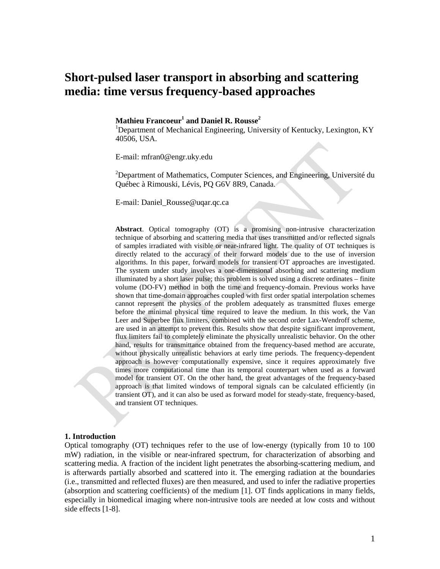# **Short-pulsed laser transport in absorbing and scattering media: time versus frequency-based approaches**

# **Mathieu Francoeur1 and Daniel R. Rousse<sup>2</sup>**

<sup>1</sup>Department of Mechanical Engineering, University of Kentucky, Lexington, KY 40506, USA.

E-mail: mfran0@engr.uky.edu

<sup>2</sup>Department of Mathematics, Computer Sciences, and Engineering, Université du Québec à Rimouski, Lévis, PQ G6V 8R9, Canada.

E-mail: Daniel\_Rousse@uqar.qc.ca

**Abstract**. Optical tomography (OT) is a promising non-intrusive characterization technique of absorbing and scattering media that uses transmitted and/or reflected signals of samples irradiated with visible or near-infrared light. The quality of OT techniques is directly related to the accuracy of their forward models due to the use of inversion algorithms. In this paper, forward models for transient OT approaches are investigated. The system under study involves a one-dimensional absorbing and scattering medium illuminated by a short laser pulse; this problem is solved using a discrete ordinates – finite volume (DO-FV) method in both the time and frequency-domain. Previous works have shown that time-domain approaches coupled with first order spatial interpolation schemes cannot represent the physics of the problem adequately as transmitted fluxes emerge before the minimal physical time required to leave the medium. In this work, the Van Leer and Superbee flux limiters, combined with the second order Lax-Wendroff scheme, are used in an attempt to prevent this. Results show that despite significant improvement, flux limiters fail to completely eliminate the physically unrealistic behavior. On the other hand, results for transmittance obtained from the frequency-based method are accurate, without physically unrealistic behaviors at early time periods. The frequency-dependent approach is however computationally expensive, since it requires approximately five times more computational time than its temporal counterpart when used as a forward model for transient OT. On the other hand, the great advantages of the frequency-based approach is that limited windows of temporal signals can be calculated efficiently (in transient OT), and it can also be used as forward model for steady-state, frequency-based, and transient OT techniques.

#### **1. Introduction**

Optical tomography (OT) techniques refer to the use of low-energy (typically from 10 to 100 mW) radiation, in the visible or near-infrared spectrum, for characterization of absorbing and scattering media. A fraction of the incident light penetrates the absorbing-scattering medium, and is afterwards partially absorbed and scattered into it. The emerging radiation at the boundaries (i.e., transmitted and reflected fluxes) are then measured, and used to infer the radiative properties (absorption and scattering coefficients) of the medium [1]. OT finds applications in many fields, especially in biomedical imaging where non-intrusive tools are needed at low costs and without side effects [1-8].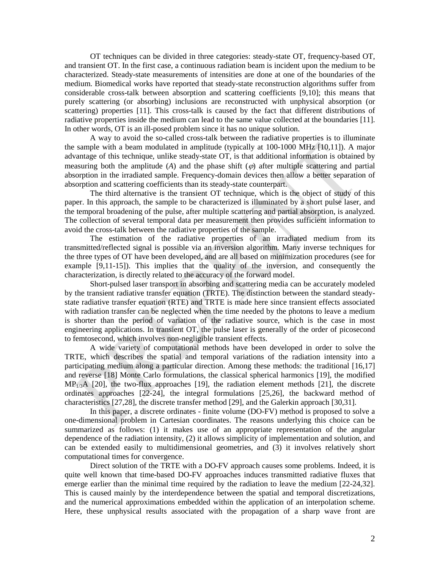OT techniques can be divided in three categories: steady-state OT, frequency-based OT, and transient OT. In the first case, a continuous radiation beam is incident upon the medium to be characterized. Steady-state measurements of intensities are done at one of the boundaries of the medium. Biomedical works have reported that steady-state reconstruction algorithms suffer from considerable cross-talk between absorption and scattering coefficients [9,10]; this means that purely scattering (or absorbing) inclusions are reconstructed with unphysical absorption (or scattering) properties [11]. This cross-talk is caused by the fact that different distributions of radiative properties inside the medium can lead to the same value collected at the boundaries [11]. In other words, OT is an ill-posed problem since it has no unique solution.

A way to avoid the so-called cross-talk between the radiative properties is to illuminate the sample with a beam modulated in amplitude (typically at 100-1000 MHz [10,11]). A major advantage of this technique, unlike steady-state OT, is that additional information is obtained by measuring both the amplitude  $(A)$  and the phase shift  $(\varphi)$  after multiple scattering and partial absorption in the irradiated sample. Frequency-domain devices then allow a better separation of absorption and scattering coefficients than its steady-state counterpart.

The third alternative is the transient OT technique, which is the object of study of this paper. In this approach, the sample to be characterized is illuminated by a short pulse laser, and the temporal broadening of the pulse, after multiple scattering and partial absorption, is analyzed. The collection of several temporal data per measurement then provides sufficient information to avoid the cross-talk between the radiative properties of the sample.

The estimation of the radiative properties of an irradiated medium from its transmitted/reflected signal is possible via an inversion algorithm. Many inverse techniques for the three types of OT have been developed, and are all based on minimization procedures (see for example [9,11-15]). This implies that the quality of the inversion, and consequently the characterization, is directly related to the accuracy of the forward model.

Short-pulsed laser transport in absorbing and scattering media can be accurately modeled by the transient radiative transfer equation (TRTE). The distinction between the standard steadystate radiative transfer equation (RTE) and TRTE is made here since transient effects associated with radiation transfer can be neglected when the time needed by the photons to leave a medium is shorter than the period of variation of the radiative source, which is the case in most engineering applications. In transient OT, the pulse laser is generally of the order of picosecond to femtosecond, which involves non-negligible transient effects.

A wide variety of computational methods have been developed in order to solve the TRTE, which describes the spatial and temporal variations of the radiation intensity into a participating medium along a particular direction. Among these methods: the traditional [16,17] and reverse [18] Monte Carlo formulations, the classical spherical harmonics [19], the modified  $MP<sub>1/3</sub>A$  [20], the two-flux approaches [19], the radiation element methods [21], the discrete ordinates approaches [22-24], the integral formulations [25,26], the backward method of characteristics [27,28], the discrete transfer method [29], and the Galerkin approach [30,31].

In this paper, a discrete ordinates - finite volume (DO-FV) method is proposed to solve a one-dimensional problem in Cartesian coordinates. The reasons underlying this choice can be summarized as follows: (1) it makes use of an appropriate representation of the angular dependence of the radiation intensity, (2) it allows simplicity of implementation and solution, and can be extended easily to multidimensional geometries, and (3) it involves relatively short computational times for convergence.

Direct solution of the TRTE with a DO-FV approach causes some problems. Indeed, it is quite well known that time-based DO-FV approaches induces transmitted radiative fluxes that emerge earlier than the minimal time required by the radiation to leave the medium [22-24,32]. This is caused mainly by the interdependence between the spatial and temporal discretizations, and the numerical approximations embedded within the application of an interpolation scheme. Here, these unphysical results associated with the propagation of a sharp wave front are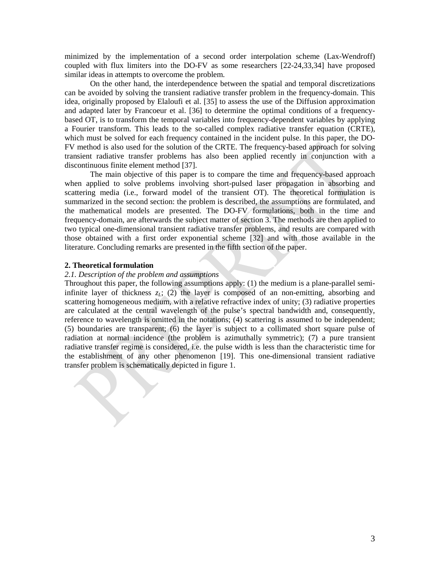minimized by the implementation of a second order interpolation scheme (Lax-Wendroff) coupled with flux limiters into the DO-FV as some researchers [22-24,33,34] have proposed similar ideas in attempts to overcome the problem.

On the other hand, the interdependence between the spatial and temporal discretizations can be avoided by solving the transient radiative transfer problem in the frequency-domain. This idea, originally proposed by Elaloufi et al. [35] to assess the use of the Diffusion approximation and adapted later by Francoeur et al. [36] to determine the optimal conditions of a frequencybased OT, is to transform the temporal variables into frequency-dependent variables by applying a Fourier transform. This leads to the so-called complex radiative transfer equation (CRTE), which must be solved for each frequency contained in the incident pulse. In this paper, the DO-FV method is also used for the solution of the CRTE. The frequency-based approach for solving transient radiative transfer problems has also been applied recently in conjunction with a discontinuous finite element method [37].

The main objective of this paper is to compare the time and frequency-based approach when applied to solve problems involving short-pulsed laser propagation in absorbing and scattering media (i.e., forward model of the transient OT). The theoretical formulation is summarized in the second section: the problem is described, the assumptions are formulated, and the mathematical models are presented. The DO-FV formulations, both in the time and frequency-domain, are afterwards the subject matter of section 3. The methods are then applied to two typical one-dimensional transient radiative transfer problems, and results are compared with those obtained with a first order exponential scheme [32] and with those available in the literature. Concluding remarks are presented in the fifth section of the paper.

#### **2. Theoretical formulation**

#### *2.1. Description of the problem and assumptions*

Throughout this paper, the following assumptions apply: (1) the medium is a plane-parallel semiinfinite layer of thickness  $z_L$ ; (2) the layer is composed of an non-emitting, absorbing and scattering homogeneous medium, with a relative refractive index of unity; (3) radiative properties are calculated at the central wavelength of the pulse's spectral bandwidth and, consequently, reference to wavelength is omitted in the notations; (4) scattering is assumed to be independent; (5) boundaries are transparent; (6) the layer is subject to a collimated short square pulse of radiation at normal incidence (the problem is azimuthally symmetric); (7) a pure transient radiative transfer regime is considered, i.e. the pulse width is less than the characteristic time for the establishment of any other phenomenon [19]. This one-dimensional transient radiative transfer problem is schematically depicted in figure 1.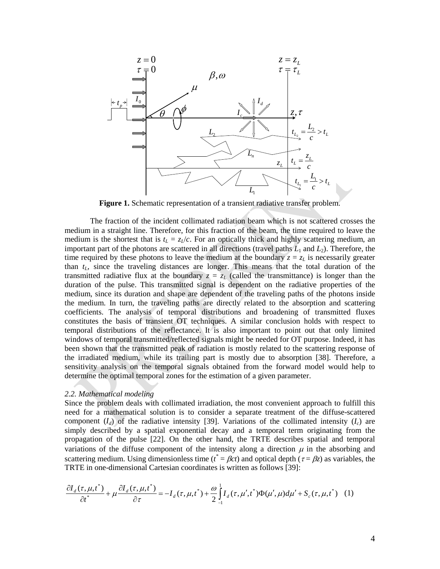

**Figure 1.** Schematic representation of a transient radiative transfer problem.

The fraction of the incident collimated radiation beam which is not scattered crosses the medium in a straight line. Therefore, for this fraction of the beam, the time required to leave the medium is the shortest that is  $t_L = z_L/c$ . For an optically thick and highly scattering medium, an important part of the photons are scattered in all directions (travel paths  $L_1$  and  $L_2$ ). Therefore, the time required by these photons to leave the medium at the boundary  $z = z_L$  is necessarily greater than  $t_L$ , since the traveling distances are longer. This means that the total duration of the transmitted radiative flux at the boundary  $z = z_L$  (called the transmittance) is longer than the duration of the pulse. This transmitted signal is dependent on the radiative properties of the medium, since its duration and shape are dependent of the traveling paths of the photons inside the medium. In turn, the traveling paths are directly related to the absorption and scattering coefficients. The analysis of temporal distributions and broadening of transmitted fluxes constitutes the basis of transient OT techniques. A similar conclusion holds with respect to temporal distributions of the reflectance. It is also important to point out that only limited windows of temporal transmitted/reflected signals might be needed for OT purpose. Indeed, it has been shown that the transmitted peak of radiation is mostly related to the scattering response of the irradiated medium, while its trailing part is mostly due to absorption [38]. Therefore, a sensitivity analysis on the temporal signals obtained from the forward model would help to determine the optimal temporal zones for the estimation of a given parameter.

#### *2.2. Mathematical modeling*

Since the problem deals with collimated irradiation, the most convenient approach to fulfill this need for a mathematical solution is to consider a separate treatment of the diffuse-scattered component  $(I_d)$  of the radiative intensity [39]. Variations of the collimated intensity  $(I_c)$  are simply described by a spatial exponential decay and a temporal term originating from the propagation of the pulse [22]. On the other hand, the TRTE describes spatial and temporal variations of the diffuse component of the intensity along a direction  $\mu$  in the absorbing and scattering medium. Using dimensionless time ( $t^* = \beta ct$ ) and optical depth ( $\tau = \beta z$ ) as variables, the TRTE in one-dimensional Cartesian coordinates is written as follows [39]:

$$
\frac{\partial I_d(\tau, \mu, t^*)}{\partial t^*} + \mu \frac{\partial I_d(\tau, \mu, t^*)}{\partial \tau} = -I_d(\tau, \mu, t^*) + \frac{\omega}{2} \int_{-1}^1 I_d(\tau, \mu', t^*) \Phi(\mu', \mu) d\mu' + S_c(\tau, \mu, t^*) \tag{1}
$$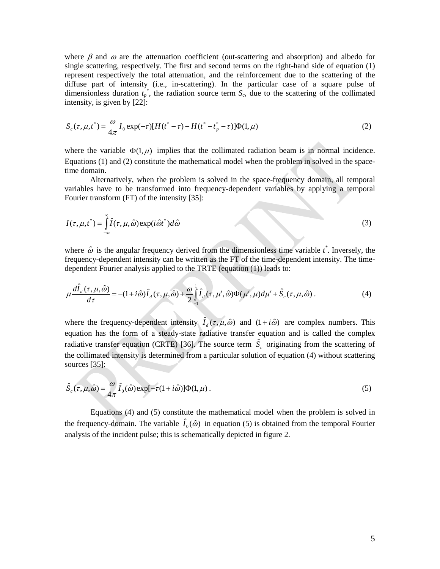where  $\beta$  and  $\omega$  are the attenuation coefficient (out-scattering and absorption) and albedo for single scattering, respectively. The first and second terms on the right-hand side of equation (1) represent respectively the total attenuation, and the reinforcement due to the scattering of the diffuse part of intensity (i.e., in-scattering). In the particular case of a square pulse of dimensionless duration  $t_p^*$ , the radiation source term  $S_c$ , due to the scattering of the collimated intensity, is given by [22]:

$$
S_c(\tau, \mu, t^*) = \frac{\omega}{4\pi} I_0 \exp(-\tau) [H(t^* - \tau) - H(t^* - t^* - \tau)] \Phi(1, \mu)
$$
\n(2)

where the variable  $\Phi(1,\mu)$  implies that the collimated radiation beam is in normal incidence. Equations (1) and (2) constitute the mathematical model when the problem in solved in the spacetime domain.

Alternatively, when the problem is solved in the space-frequency domain, all temporal variables have to be transformed into frequency-dependent variables by applying a temporal Fourier transform (FT) of the intensity [35]:

$$
I(\tau, \mu, t^*) = \int_{-\infty}^{\infty} \hat{I}(\tau, \mu, \hat{\omega}) \exp(i\hat{\omega}t^*) d\hat{\omega}
$$
 (3)

where  $\hat{\omega}$  is the angular frequency derived from the dimensionless time variable  $t^*$ . Inversely, the frequency-dependent intensity can be written as the FT of the time-dependent intensity. The timedependent Fourier analysis applied to the TRTE (equation (1)) leads to:

$$
\mu \frac{d\hat{I}_d(\tau, \mu, \hat{\omega})}{d\tau} = -(1 + i\hat{\omega})\hat{I}_d(\tau, \mu, \hat{\omega}) + \frac{\omega}{2} \int_{-1}^1 \hat{I}_d(\tau, \mu', \hat{\omega}) \Phi(\mu', \mu) d\mu' + \hat{S}_c(\tau, \mu, \hat{\omega}) . \tag{4}
$$

where the frequency-dependent intensity  $\hat{I}_d(\tau, \mu, \hat{\omega})$  and  $(1 + i\hat{\omega})$  are complex numbers. This equation has the form of a steady-state radiative transfer equation and is called the complex radiative transfer equation (CRTE) [36]. The source term  $\hat{S}_c$  originating from the scattering of the collimated intensity is determined from a particular solution of equation (4) without scattering sources [35]:

$$
\hat{S}_c(\tau,\mu,\hat{\omega}) = \frac{\omega}{4\pi} \hat{I}_0(\hat{\omega}) \exp[-\tau(1+i\hat{\omega})] \Phi(1,\mu).
$$
\n(5)

Equations (4) and (5) constitute the mathematical model when the problem is solved in the frequency-domain. The variable  $\hat{I}_0(\hat{\omega})$  in equation (5) is obtained from the temporal Fourier analysis of the incident pulse; this is schematically depicted in figure 2.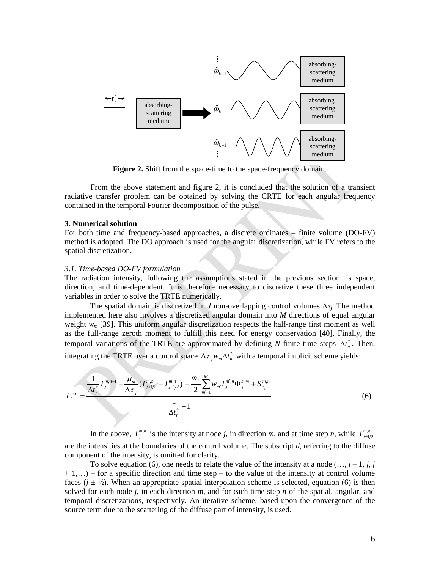

**Figure 2.** Shift from the space-time to the space-frequency domain.

From the above statement and figure 2, it is concluded that the solution of a transient radiative transfer problem can be obtained by solving the CRTE for each angular frequency contained in the temporal Fourier decomposition of the pulse.

#### **3. Numerical solution**

For both time and frequency-based approaches, a discrete ordinates – finite volume (DO-FV) method is adopted. The DO approach is used for the angular discretization, while FV refers to the spatial discretization.

#### *3.1. Time-based DO-FV formulation*

The radiation intensity, following the assumptions stated in the previous section, is space, direction, and time-dependent. It is therefore necessary to discretize these three independent variables in order to solve the TRTE numerically.

The spatial domain is discretized in *J* non-overlapping control volumes  $\Delta \tau_i$ . The method implemented here also involves a discretized angular domain into *M* directions of equal angular weight *w<sub>m</sub>* [39]. This uniform angular discretization respects the half-range first moment as well as the full-range zeroth moment to fulfill this need for energy conservation [40]. Finally, the temporal variations of the TRTE are approximated by defining *N* finite time steps  $\Delta t_n^*$ . Then, integrating the TRTE over a control space  $\Delta \tau_j w_m \Delta t_n^*$  with a temporal implicit scheme yields:

$$
I_j^{m,n} = \frac{\frac{1}{\Delta t_n^*} I_j^{m,n-1} - \frac{\mu_m}{\Delta \tau_j} (I_{j+1/2}^{m,n} - I_{j-1/2}^{m,n}) + \frac{\omega_j}{2} \sum_{m'=1}^M w_{m'} I_j^{m',n} \Phi_j^{m'm} + S_{c_j}^{m,n}}{\frac{1}{\Delta t_n^*} + 1}
$$
(6)

In the above,  $I^{m,n}_{j}$  is the intensity at node *j*, in direction *m*, and at time step *n*, while  $I^{m,n}_{j \pm 1/2}$ are the intensities at the boundaries of the control volume. The subscript *d*, referring to the diffuse component of the intensity, is omitted for clarity.

To solve equation (6), one needs to relate the value of the intensity at a node  $(..., j - 1, j, j)$  $+ 1,...$ ) – for a specific direction and time step – to the value of the intensity at control volume faces  $(j \pm \frac{1}{2})$ . When an appropriate spatial interpolation scheme is selected, equation (6) is then solved for each node *j*, in each direction *m*, and for each time step *n* of the spatial, angular, and temporal discretizations, respectively. An iterative scheme, based upon the convergence of the source term due to the scattering of the diffuse part of intensity, is used.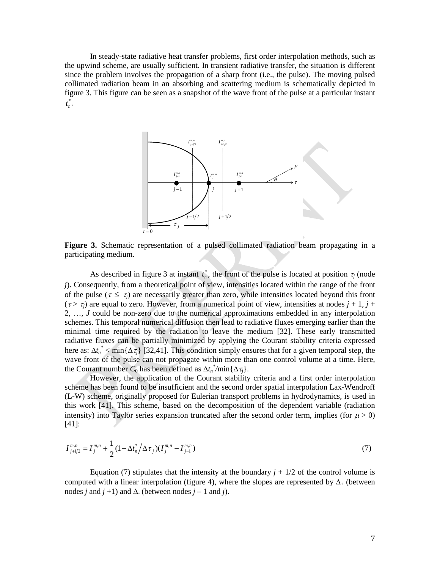In steady-state radiative heat transfer problems, first order interpolation methods, such as the upwind scheme, are usually sufficient. In transient radiative transfer, the situation is different since the problem involves the propagation of a sharp front (i.e., the pulse). The moving pulsed collimated radiation beam in an absorbing and scattering medium is schematically depicted in figure 3. This figure can be seen as a snapshot of the wave front of the pulse at a particular instant \*  $t_n^*$ .



**Figure 3.** Schematic representation of a pulsed collimated radiation beam propagating in a participating medium.

As described in figure 3 at instant  $t_n^*$ , the front of the pulse is located at position  $\tau_j$  (node *j*). Consequently, from a theoretical point of view, intensities located within the range of the front of the pulse ( $\tau \leq \tau_i$ ) are necessarily greater than zero, while intensities located beyond this front  $(\tau > \tau_i)$  are equal to zero. However, from a numerical point of view, intensities at nodes  $j + 1$ ,  $j +$ 2, …, *J* could be non-zero due to the numerical approximations embedded in any interpolation schemes. This temporal numerical diffusion then lead to radiative fluxes emerging earlier than the minimal time required by the radiation to leave the medium [32]. These early transmitted radiative fluxes can be partially minimized by applying the Courant stability criteria expressed here as:  $\Delta t_n^*$  < min $\{\Delta \tau_j\}$  [32,41]. This condition simply ensures that for a given temporal step, the wave front of the pulse can not propagate within more than one control volume at a time. Here, the Courant number  $C_0$  has been defined as  $\Delta t_n^* / \min{\Delta \tau_j}$ .

However, the application of the Courant stability criteria and a first order interpolation scheme has been found to be insufficient and the second order spatial interpolation Lax-Wendroff (L-W) scheme, originally proposed for Eulerian transport problems in hydrodynamics, is used in this work [41]. This scheme, based on the decomposition of the dependent variable (radiation intensity) into Taylor series expansion truncated after the second order term, implies (for  $\mu > 0$ ) [41]:

$$
I_{j+1/2}^{m,n} = I_j^{m,n} + \frac{1}{2} (1 - \Delta t_n^* / \Delta \tau_j) (I_j^{m,n} - I_{j-1}^{m,n})
$$
\n<sup>(7)</sup>

Equation (7) stipulates that the intensity at the boundary  $j + 1/2$  of the control volume is computed with a linear interpolation (figure 4), where the slopes are represented by  $\Delta_{+}$  (between nodes *j* and  $j +1$ ) and  $\Lambda$  (between nodes  $j - 1$  and  $j$ ).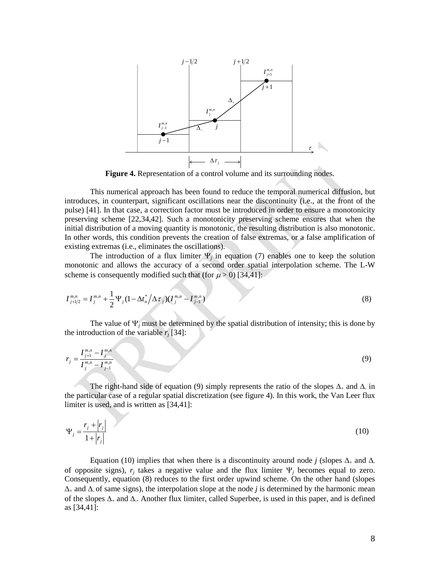

**Figure 4.** Representation of a control volume and its surrounding nodes.

This numerical approach has been found to reduce the temporal numerical diffusion, but introduces, in counterpart, significant oscillations near the discontinuity (i.e., at the front of the pulse) [41]. In that case, a correction factor must be introduced in order to ensure a monotonicity preserving scheme [22,34,42]. Such a monotonicity preserving scheme ensures that when the initial distribution of a moving quantity is monotonic, the resulting distribution is also monotonic. In other words, this condition prevents the creation of false extremas, or a false amplification of existing extremas (i.e., eliminates the oscillations).

The introduction of a flux limiter  $\Psi_i$  in equation (7) enables one to keep the solution monotonic and allows the accuracy of a second order spatial interpolation scheme. The L-W scheme is consequently modified such that (for  $\mu$  > 0) [34,41]:

$$
I_{j+1/2}^{m,n} = I_j^{m,n} + \frac{1}{2} \Psi_j (1 - \Delta t_n^* / \Delta \tau_j) (I_j^{m,n} - I_{j-1}^{m,n})
$$
\n(8)

The value of  $\Psi_i$  must be determined by the spatial distribution of intensity; this is done by the introduction of the variable  $r_i$  [34]:

$$
r_j = \frac{I_{j+1}^{m,n} - I_j^{m,n}}{I_j^{m,n} - I_{j-1}^{m,n}}
$$
(9)

The right-hand side of equation (9) simply represents the ratio of the slopes  $\Delta_+$  and  $\Delta_-$  in the particular case of a regular spatial discretization (see figure 4). In this work, the Van Leer flux limiter is used, and is written as [34,41]:

$$
\Psi_j = \frac{r_j + |r_j|}{1 + |r_j|} \tag{10}
$$

Equation (10) implies that when there is a discontinuity around node *j* (slopes  $\Delta_+$  and  $\Delta_$ of opposite signs),  $r_i$  takes a negative value and the flux limiter  $\Psi_i$  becomes equal to zero. Consequently, equation (8) reduces to the first order upwind scheme. On the other hand (slopes ∆<sup>+</sup> and ∆- of same signs), the interpolation slope at the node *j* is determined by the harmonic mean of the slopes ∆<sup>+</sup> and ∆-. Another flux limiter, called Superbee, is used in this paper, and is defined as [34,41]: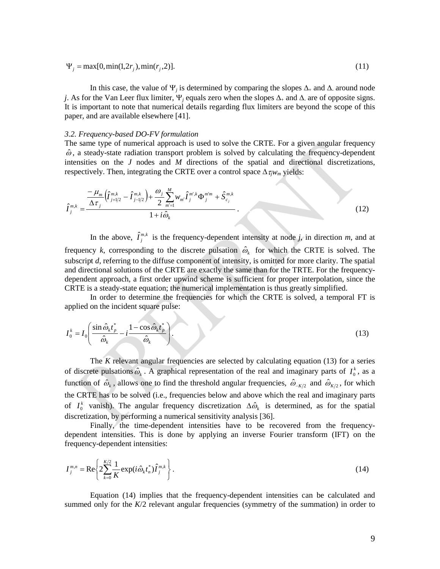$$
\Psi_j = \max[0, \min(1, 2r_j), \min(r_j, 2)].
$$
\n(11)

In this case, the value of  $\Psi_j$  is determined by comparing the slopes  $\Delta_+$  and  $\Delta_-$  around node *j*. As for the Van Leer flux limiter, Ψ*<sup>j</sup>* equals zero when the slopes ∆<sup>+</sup> and ∆- are of opposite signs. It is important to note that numerical details regarding flux limiters are beyond the scope of this paper, and are available elsewhere [41].

#### *3.2. Frequency-based DO-FV formulation*

The same type of numerical approach is used to solve the CRTE. For a given angular frequency  $\hat{\omega}$ , a steady-state radiation transport problem is solved by calculating the frequency-dependent intensities on the *J* nodes and *M* directions of the spatial and directional discretizations, respectively. Then, integrating the CRTE over a control space  $\Delta \tau_i w_m$  yields:

$$
\hat{I}_{j}^{m,k} = \frac{\frac{-\mu_{m}}{\Delta \tau_{j}} \left(\hat{I}_{j+l/2}^{m,k} - \hat{I}_{j-l/2}^{m,k}\right) + \frac{\omega_{j}}{2} \sum_{m'=1}^{M} w_{m'} \hat{I}_{j}^{m',k} \Phi_{j}^{m'm} + \hat{S}_{c_{j}}^{m,k}}{1 + i \hat{\omega}_{k}}.
$$
\n(12)

In the above,  $\hat{I}^{m,k}_{j}$  is the frequency-dependent intensity at node *j*, in direction *m*, and at frequency *k*, corresponding to the discrete pulsation  $\hat{\omega}_k$  for which the CRTE is solved. The subscript *d*, referring to the diffuse component of intensity, is omitted for more clarity. The spatial and directional solutions of the CRTE are exactly the same than for the TRTE. For the frequencydependent approach, a first order upwind scheme is sufficient for proper interpolation, since the CRTE is a steady-state equation; the numerical implementation is thus greatly simplified.

In order to determine the frequencies for which the CRTE is solved, a temporal FT is applied on the incident square pulse:

$$
I_0^k = I_0 \left( \frac{\sin \hat{\omega}_k t_p^*}{\hat{\omega}_k} - i \frac{1 - \cos \hat{\omega}_k t_p^*}{\hat{\omega}_k} \right).
$$
 (13)

The *K* relevant angular frequencies are selected by calculating equation (13) for a series of discrete pulsations  $\hat{\omega}_k$ . A graphical representation of the real and imaginary parts of  $I_0^k$ , as a function of  $\hat{\omega}_k$ , allows one to find the threshold angular frequencies,  $\hat{\omega}_{-K/2}$  and  $\hat{\omega}_{K/2}$ , for which the CRTE has to be solved (i.e., frequencies below and above which the real and imaginary parts of  $I_0^k$  vanish). The angular frequency discretization  $\Delta \hat{\omega}_k$  is determined, as for the spatial discretization, by performing a numerical sensitivity analysis [36].

Finally, the time-dependent intensities have to be recovered from the frequencydependent intensities. This is done by applying an inverse Fourier transform (IFT) on the frequency-dependent intensities:

$$
I_j^{m,n} = \text{Re}\left\{2\sum_{k=0}^{K/2} \frac{1}{K} \exp(i\hat{\omega}_k t_n^*) \hat{I}_j^{m,k}\right\}.
$$
 (14)

Equation (14) implies that the frequency-dependent intensities can be calculated and summed only for the *K*/2 relevant angular frequencies (symmetry of the summation) in order to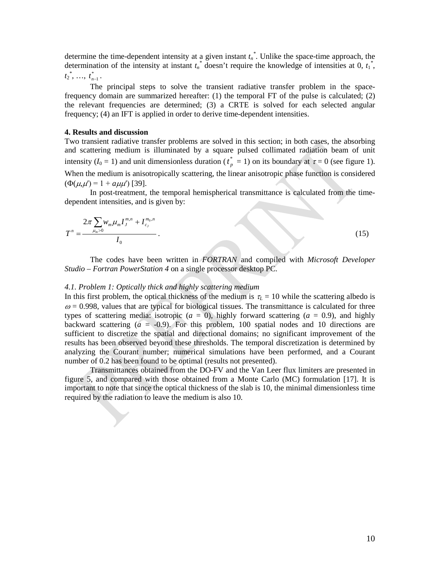determine the time-dependent intensity at a given instant *tn \** . Unlike the space-time approach, the determination of the intensity at instant  $t_n^*$  doesn't require the knowledge of intensities at 0,  $t_1^*$ ,

 $t_2^*, \ldots, t_{n-1}^*$ .

The principal steps to solve the transient radiative transfer problem in the spacefrequency domain are summarized hereafter: (1) the temporal FT of the pulse is calculated; (2) the relevant frequencies are determined; (3) a CRTE is solved for each selected angular frequency; (4) an IFT is applied in order to derive time-dependent intensities.

### **4. Results and discussion**

Two transient radiative transfer problems are solved in this section; in both cases, the absorbing and scattering medium is illuminated by a square pulsed collimated radiation beam of unit intensity ( $I_0 = 1$ ) and unit dimensionless duration ( $t_p^* = 1$ ) on its boundary at  $\tau = 0$  (see figure 1). When the medium is anisotropically scattering, the linear anisotropic phase function is considered  $(\Phi(\mu, \mu') = 1 + a \mu \mu')$  [39].

In post-treatment, the temporal hemispherical transmittance is calculated from the timedependent intensities, and is given by:

$$
T^{n} = \frac{2\pi \sum_{\mu_{m}>0} w_{m}\mu_{m}I_{J}^{m,n} + I_{c_{J}}^{m_{0},n}}{I_{0}}.
$$
\n(15)

The codes have been written in *FORTRAN* and compiled with *Microsoft Developer Studio – Fortran PowerStation 4* on a single processor desktop PC.

#### *4.1. Problem 1: Optically thick and highly scattering medium*

In this first problem, the optical thickness of the medium is  $\tau_L = 10$  while the scattering albedo is  $\omega = 0.998$ , values that are typical for biological tissues. The transmittance is calculated for three types of scattering media: isotropic  $(a = 0)$ , highly forward scattering  $(a = 0.9)$ , and highly backward scattering  $(a = -0.9)$ . For this problem, 100 spatial nodes and 10 directions are sufficient to discretize the spatial and directional domains; no significant improvement of the results has been observed beyond these thresholds. The temporal discretization is determined by analyzing the Courant number; numerical simulations have been performed, and a Courant number of 0.2 has been found to be optimal (results not presented).

Transmittances obtained from the DO-FV and the Van Leer flux limiters are presented in figure 5, and compared with those obtained from a Monte Carlo (MC) formulation [17]. It is important to note that since the optical thickness of the slab is 10, the minimal dimensionless time required by the radiation to leave the medium is also 10.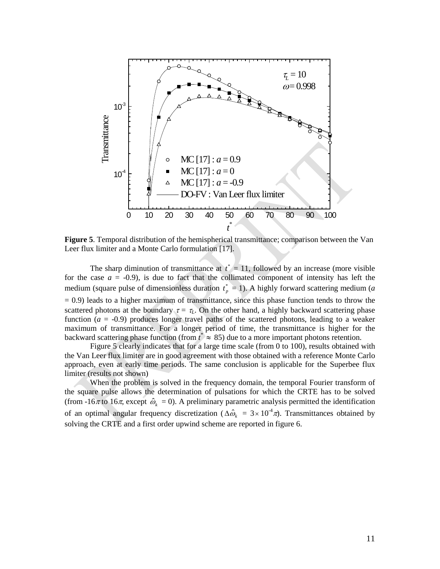

**Figure 5**. Temporal distribution of the hemispherical transmittance; comparison between the Van Leer flux limiter and a Monte Carlo formulation [17].

The sharp diminution of transmittance at  $t^* = 11$ , followed by an increase (more visible for the case  $a = -0.9$ ), is due to fact that the collimated component of intensity has left the medium (square pulse of dimensionless duration  $t_p^* = 1$ ). A highly forward scattering medium (*a*  $= 0.9$ ) leads to a higher maximum of transmittance, since this phase function tends to throw the scattered photons at the boundary  $\tau = \tau_L$ . On the other hand, a highly backward scattering phase function  $(a = -0.9)$  produces longer travel paths of the scattered photons, leading to a weaker maximum of transmittance. For a longer period of time, the transmittance is higher for the backward scattering phase function (from  $t^* \approx 85$ ) due to a more important photons retention.

Figure 5 clearly indicates that for a large time scale (from 0 to 100), results obtained with the Van Leer flux limiter are in good agreement with those obtained with a reference Monte Carlo approach, even at early time periods. The same conclusion is applicable for the Superbee flux limiter (results not shown)

When the problem is solved in the frequency domain, the temporal Fourier transform of the square pulse allows the determination of pulsations for which the CRTE has to be solved (from -16 $\pi$  to 16 $\pi$ , except  $\hat{\omega}_k = 0$ ). A preliminary parametric analysis permitted the identification of an optimal angular frequency discretization ( $\Delta \hat{\omega}_k = 3 \times 10^{-4} \pi$ ). Transmittances obtained by solving the CRTE and a first order upwind scheme are reported in figure 6.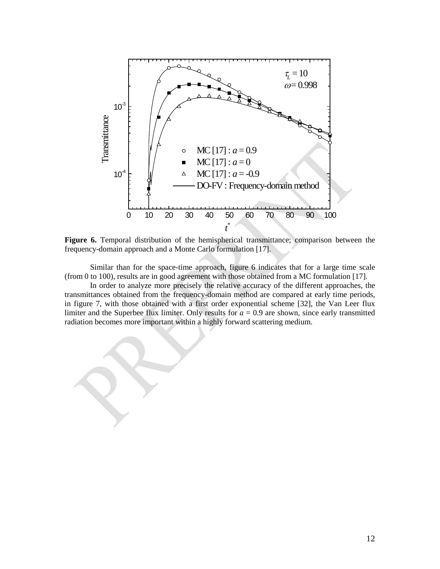

**Figure 6.** Temporal distribution of the hemispherical transmittance; comparison between the frequency-domain approach and a Monte Carlo formulation [17].

Similar than for the space-time approach, figure 6 indicates that for a large time scale (from 0 to 100), results are in good agreement with those obtained from a MC formulation [17].

In order to analyze more precisely the relative accuracy of the different approaches, the transmittances obtained from the frequency-domain method are compared at early time periods, in figure 7, with those obtained with a first order exponential scheme [32], the Van Leer flux limiter and the Superbee flux limiter. Only results for  $a = 0.9$  are shown, since early transmitted radiation becomes more important within a highly forward scattering medium.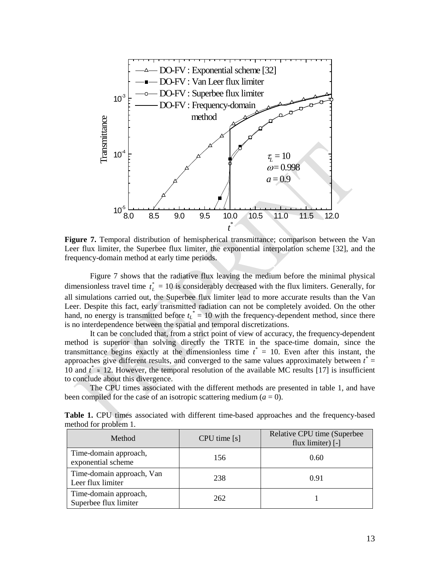

**Figure 7.** Temporal distribution of hemispherical transmittance; comparison between the Van Leer flux limiter, the Superbee flux limiter, the exponential interpolation scheme [32], and the frequency-domain method at early time periods.

Figure 7 shows that the radiative flux leaving the medium before the minimal physical dimensionless travel time  $t_L^* = 10$  is considerably decreased with the flux limiters. Generally, for all simulations carried out, the Superbee flux limiter lead to more accurate results than the Van Leer. Despite this fact, early transmitted radiation can not be completely avoided. On the other hand, no energy is transmitted before  $t_L^* = 10$  with the frequency-dependent method, since there is no interdependence between the spatial and temporal discretizations.

It can be concluded that, from a strict point of view of accuracy, the frequency-dependent method is superior than solving directly the TRTE in the space-time domain, since the transmittance begins exactly at the dimensionless time  $t^* = 10$ . Even after this instant, the approaches give different results, and converged to the same values approximately between *t \** = 10 and  $t^* \approx 12$ . However, the temporal resolution of the available MC results [17] is insufficient to conclude about this divergence.

The CPU times associated with the different methods are presented in table 1, and have been compiled for the case of an isotropic scattering medium  $(a = 0)$ .

| Method                                         | $CPU$ time $[s]$ | Relative CPU time (Superbee)<br>flux limiter) $\lceil - \rceil$ |
|------------------------------------------------|------------------|-----------------------------------------------------------------|
| Time-domain approach,<br>exponential scheme    | 156              | 0.60                                                            |
| Time-domain approach, Van<br>Leer flux limiter | 238              | 0.91                                                            |
| Time-domain approach,<br>Superbee flux limiter | 262              |                                                                 |

**Table 1.** CPU times associated with different time-based approaches and the frequency-based method for problem 1.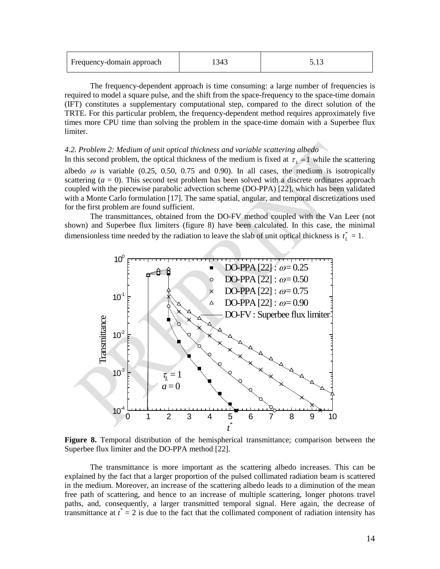| Frequency-domain approach |  |  |
|---------------------------|--|--|
|---------------------------|--|--|

The frequency-dependent approach is time consuming: a large number of frequencies is required to model a square pulse, and the shift from the space-frequency to the space-time domain (IFT) constitutes a supplementary computational step, compared to the direct solution of the TRTE. For this particular problem, the frequency-dependent method requires approximately five times more CPU time than solving the problem in the space-time domain with a Superbee flux limiter.

## *4.2. Problem 2: Medium of unit optical thickness and variable scattering albedo*

In this second problem, the optical thickness of the medium is fixed at  $\tau_L = 1$  while the scattering albedo  $\omega$  is variable (0.25, 0.50, 0.75 and 0.90). In all cases, the medium is isotropically scattering  $(a = 0)$ . This second test problem has been solved with a discrete ordinates approach coupled with the piecewise parabolic advection scheme (DO-PPA) [22], which has been validated with a Monte Carlo formulation [17]. The same spatial, angular, and temporal discretizations used for the first problem are found sufficient.

The transmittances, obtained from the DO-FV method coupled with the Van Leer (not shown) and Superbee flux limiters (figure 8) have been calculated. In this case, the minimal dimensionless time needed by the radiation to leave the slab of unit optical thickness is  $t_L^* = 1$ .



**Figure 8.** Temporal distribution of the hemispherical transmittance; comparison between the Superbee flux limiter and the DO-PPA method [22].

The transmittance is more important as the scattering albedo increases. This can be explained by the fact that a larger proportion of the pulsed collimated radiation beam is scattered in the medium. Moreover, an increase of the scattering albedo leads to a diminution of the mean free path of scattering, and hence to an increase of multiple scattering, longer photons travel paths, and, consequently, a larger transmitted temporal signal. Here again, the decrease of transmittance at  $t^* = 2$  is due to the fact that the collimated component of radiation intensity has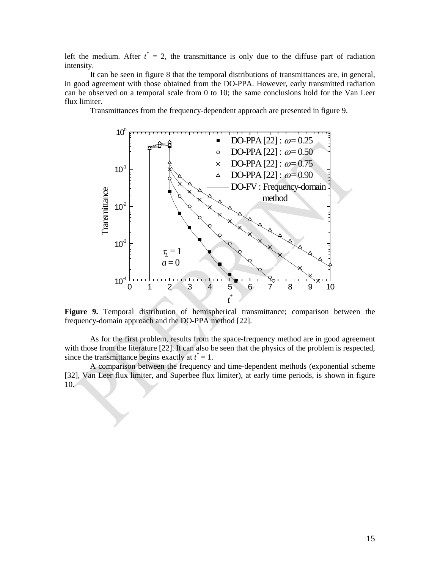left the medium. After  $t^* = 2$ , the transmittance is only due to the diffuse part of radiation intensity.

It can be seen in figure 8 that the temporal distributions of transmittances are, in general, in good agreement with those obtained from the DO-PPA. However, early transmitted radiation can be observed on a temporal scale from 0 to 10; the same conclusions hold for the Van Leer flux limiter.

Transmittances from the frequency-dependent approach are presented in figure 9.



**Figure 9.** Temporal distribution of hemispherical transmittance; comparison between the frequency-domain approach and the DO-PPA method [22].

As for the first problem, results from the space-frequency method are in good agreement with those from the literature [22]. It can also be seen that the physics of the problem is respected, since the transmittance begins exactly at  $t^* = 1$ .

A comparison between the frequency and time-dependent methods (exponential scheme [32], Van Leer flux limiter, and Superbee flux limiter), at early time periods, is shown in figure 10.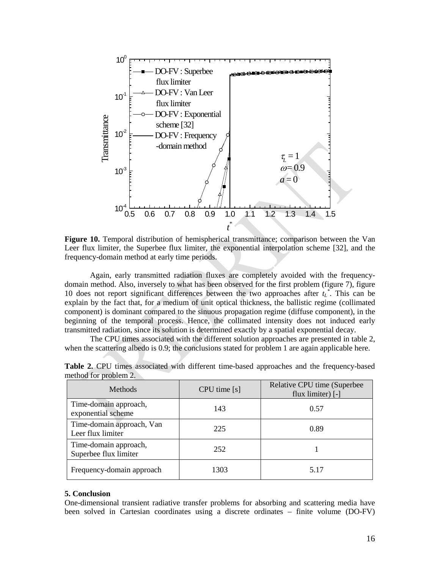

**Figure 10.** Temporal distribution of hemispherical transmittance; comparison between the Van Leer flux limiter, the Superbee flux limiter, the exponential interpolation scheme [32], and the frequency-domain method at early time periods.

Again, early transmitted radiation fluxes are completely avoided with the frequencydomain method. Also, inversely to what has been observed for the first problem (figure 7), figure 10 does not report significant differences between the two approaches after  $t_L^*$ . This can be explain by the fact that, for a medium of unit optical thickness, the ballistic regime (collimated component) is dominant compared to the sinuous propagation regime (diffuse component), in the beginning of the temporal process. Hence, the collimated intensity does not induced early transmitted radiation, since its solution is determined exactly by a spatial exponential decay.

The CPU times associated with the different solution approaches are presented in table 2, when the scattering albedo is 0.9; the conclusions stated for problem 1 are again applicable here.

| <b>Methods</b>                                 | $CPU$ time $[s]$ | Relative CPU time (Superbee<br>flux limiter) $\lceil - \rceil$ |
|------------------------------------------------|------------------|----------------------------------------------------------------|
| Time-domain approach,<br>exponential scheme    | 143              | 0.57                                                           |
| Time-domain approach, Van<br>Leer flux limiter | 225              | 0.89                                                           |
| Time-domain approach,<br>Superbee flux limiter | 252              |                                                                |
| Frequency-domain approach                      | 1303             | 5.17                                                           |

**Table 2.** CPU times associated with different time-based approaches and the frequency-based method for problem 2.

#### **5. Conclusion**

One-dimensional transient radiative transfer problems for absorbing and scattering media have been solved in Cartesian coordinates using a discrete ordinates – finite volume (DO-FV)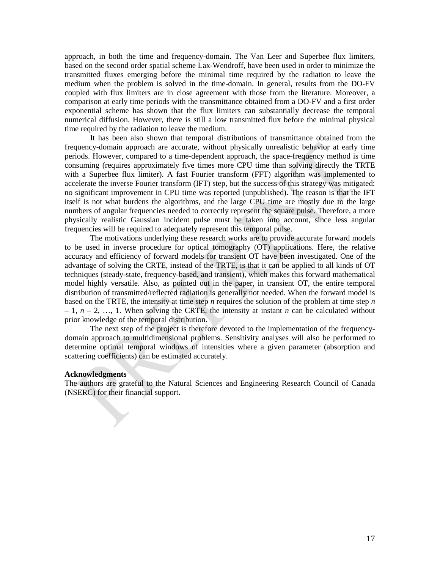approach, in both the time and frequency-domain. The Van Leer and Superbee flux limiters, based on the second order spatial scheme Lax-Wendroff, have been used in order to minimize the transmitted fluxes emerging before the minimal time required by the radiation to leave the medium when the problem is solved in the time-domain. In general, results from the DO-FV coupled with flux limiters are in close agreement with those from the literature. Moreover, a comparison at early time periods with the transmittance obtained from a DO-FV and a first order exponential scheme has shown that the flux limiters can substantially decrease the temporal numerical diffusion. However, there is still a low transmitted flux before the minimal physical time required by the radiation to leave the medium.

It has been also shown that temporal distributions of transmittance obtained from the frequency-domain approach are accurate, without physically unrealistic behavior at early time periods. However, compared to a time-dependent approach, the space-frequency method is time consuming (requires approximately five times more CPU time than solving directly the TRTE with a Superbee flux limiter). A fast Fourier transform (FFT) algorithm was implemented to accelerate the inverse Fourier transform (IFT) step, but the success of this strategy was mitigated: no significant improvement in CPU time was reported (unpublished). The reason is that the IFT itself is not what burdens the algorithms, and the large CPU time are mostly due to the large numbers of angular frequencies needed to correctly represent the square pulse. Therefore, a more physically realistic Gaussian incident pulse must be taken into account, since less angular frequencies will be required to adequately represent this temporal pulse.

The motivations underlying these research works are to provide accurate forward models to be used in inverse procedure for optical tomography (OT) applications. Here, the relative accuracy and efficiency of forward models for transient OT have been investigated. One of the advantage of solving the CRTE, instead of the TRTE, is that it can be applied to all kinds of OT techniques (steady-state, frequency-based, and transient), which makes this forward mathematical model highly versatile. Also, as pointed out in the paper, in transient OT, the entire temporal distribution of transmitted/reflected radiation is generally not needed. When the forward model is based on the TRTE, the intensity at time step *n* requires the solution of the problem at time step *n*  $-1$ ,  $n-2$ , ..., 1. When solving the CRTE, the intensity at instant *n* can be calculated without prior knowledge of the temporal distribution.

The next step of the project is therefore devoted to the implementation of the frequencydomain approach to multidimensional problems. Sensitivity analyses will also be performed to determine optimal temporal windows of intensities where a given parameter (absorption and scattering coefficients) can be estimated accurately.

#### **Acknowledgments**

The authors are grateful to the Natural Sciences and Engineering Research Council of Canada (NSERC) for their financial support.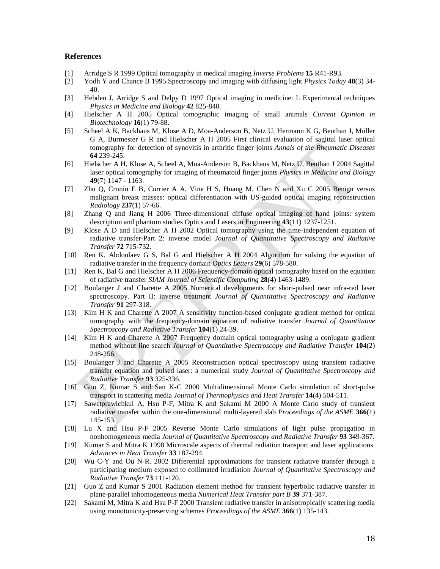#### **References**

- [1] Arridge S R 1999 Optical tomography in medical imaging *Inverse Problems* **15** R41-R93.
- [2] Yodh Y and Chance B 1995 Spectroscopy and imaging with diffusing light *Physics Today* **48**(3) 34- 40.
- [3] Hebden J, Arridge S and Delpy D 1997 Optical imaging in medicine: I. Experimental techniques *Physics in Medicine and Biology* **42** 825-840.
- [4] Hielscher A H 2005 [Optical tomographic imaging of small animals](http://www.optical-tomography.net/paper_COB_Hielscher.pdf) *Current Opinion in Biotechnology* **16**(1) 79-88.
- [5] Scheel A K, Backhaus M, Klose A D, Moa-Anderson B, Netz U, Hermann K G, Beuthan J, Müller G A, Burmester G R and Hielscher A H 2005 [First clinical evaluation of sagittal laser optical](http://www.optical-tomography.net/paper_ARD_Scheel.pdf)  [tomography for detection of synovitis in arthritic finger joints](http://www.optical-tomography.net/paper_ARD_Scheel.pdf) *Annals of the Rheumatic Diseases*  **64** 239-245.
- [6] Hielscher A H, Klose A, Scheel A, Moa-Anderson B, Backhaus M, Netz U, Beuthan J 2004 [Sagittal](http://www.optical-tomography.net/papers/paper_RA_Hielscher.pdf)  [laser optical tomography for imaging of rheumatoid finger joints](http://www.optical-tomography.net/papers/paper_RA_Hielscher.pdf) *Physics in Medicine and Biology* **49**(7) 1147 - 1163.
- [7] Zhu Q, Cronin E B, Currier A A, Vine H S, Huang M, Chen N and Xu C 2005 Benign versus malignant breast masses: optical differentiation with US-guided optical imaging reconstruction *Radiology* **237**(1) 57-66.
- [8] Zhang Q and Jiang H 2006 Three-dimensional diffuse optical imaging of hand joints: system description and phantom studies Optics and Lasers in Engineering **43**(11) 1237-1251.
- [9] Klose A D and Hielscher A H 2002 Optical tomography using the time-independent equation of radiative transfer-Part 2: inverse model *Journal of Quantitative Spectroscopy and Radiative Transfer* **72** 715-732.
- [10] Ren K, Abdoulaev G S, Bal G and Hielscher A H 2004 Algorithm for solving the equation of radiative transfer in the frequency domain *Optics Letters* **29**(6) 578-580.
- [11] Ren K, Bal G and Hielscher A H 2006 Frequency-domain optical tomography based on the equation of radiative transfer *SIAM Journal of Scientific Computing* **28**(4) 1463-1489.
- [12] Boulanger J and Charette A 2005 Numerical developments for short-pulsed near infra-red laser spectroscopy. Part II: inverse treatment *Journal of Quantitative Spectroscopy and Radiative Transfer* **91** 297-318.
- [13] Kim H K and Charette A 2007 A sensitivity function-based conjugate gradient method for optical tomography with the frequency-domain equation of radiative transfer *Journal of Quantitative Spectroscopy and Radiative Transfer* **104**(1) 24-39.
- [14] Kim H K and Charette A 2007 Frequency domain optical tomography using a conjugate gradient method without line search *Journal of Quantitative Spectroscopy and Radiative Transfer* **10**4(2) 248-256.
- [15] Boulanger J and Charette A 2005 Reconstruction optical spectroscopy using transient radiative transfer equation and pulsed laser: a numerical study *Journal of Quantitative Spectroscopy and Radiative Transfer* **93** 325-336.
- [16] Guo Z, Kumar S and San K-C 2000 Multidimensional Monte Carlo simulation of short-pulse transport in scattering media *Journal of Thermophysics and Heat Transfer* **14**(4) 504-511.
- [17] Sawetprawichkul A, Hsu P-F, Mitra K and Sakami M 2000 A Monte Carlo study of transient radiative transfer within the one-dimensional multi-layered slab *Proceedings of the ASME* **366**(1) 145-153.
- [18] Lu X and Hsu P-F 2005 Reverse Monte Carlo simulations of light pulse propagation in nonhomogeneous media *Journal of Quantitative Spectroscopy and Radiative Transfer* **93** 349-367.
- [19] Kumar S and Mitra K 1998 Microscale aspects of thermal radiation transport and laser applications. *Advances in Heat Transfer* **33** 187-294.
- [20] Wu C-Y and Ou N-R. 2002 Differential approximations for transient radiative transfer through a participating medium exposed to collimated irradiation *Journal of Quantitative Spectroscopy and Radiative Transfer* **73** 111-120.
- [21] Guo Z and Kumar S 2001 Radiation element method for transient hyperbolic radiative transfer in plane-parallel inhomogeneous media *Numerical Heat Transfer part B* **39** 371-387.
- [22] Sakami M, Mitra K and Hsu P-F 2000 Transient radiative transfer in anisotropically scattering media using monotonicity-preserving schemes *Proceedings of the ASME* **366**(1) 135-143.